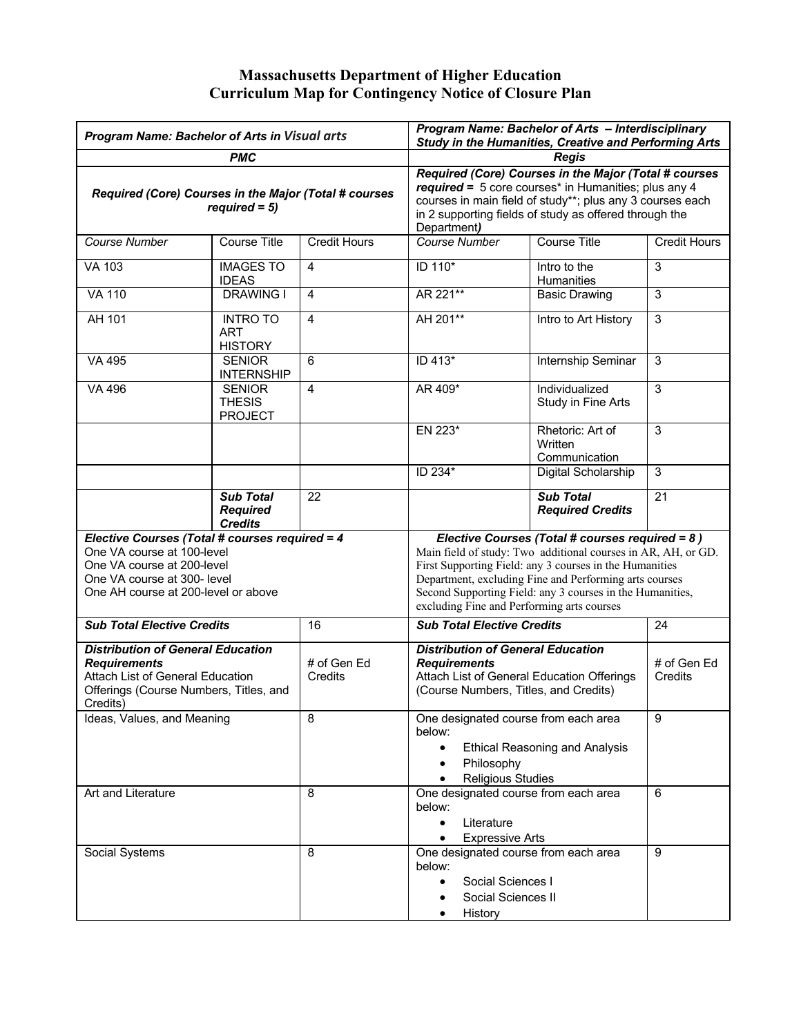## **Massachusetts Department of Higher Education Curriculum Map for Contingency Notice of Closure Plan**

| Program Name: Bachelor of Arts in Visual arts                                                                                                                                    |                                                       |                        | Program Name: Bachelor of Arts - Interdisciplinary<br><b>Study in the Humanities, Creative and Performing Arts</b>                                                                                                                                                                                                                               |                                              |                        |
|----------------------------------------------------------------------------------------------------------------------------------------------------------------------------------|-------------------------------------------------------|------------------------|--------------------------------------------------------------------------------------------------------------------------------------------------------------------------------------------------------------------------------------------------------------------------------------------------------------------------------------------------|----------------------------------------------|------------------------|
|                                                                                                                                                                                  | <b>PMC</b>                                            |                        |                                                                                                                                                                                                                                                                                                                                                  | Reais                                        |                        |
| Required (Core) Courses in the Major (Total # courses<br>$required = 5$ )                                                                                                        |                                                       |                        | Required (Core) Courses in the Major (Total # courses<br>required = 5 core courses* in Humanities; plus any 4<br>courses in main field of study**; plus any 3 courses each<br>in 2 supporting fields of study as offered through the<br>Department)                                                                                              |                                              |                        |
| Course Number                                                                                                                                                                    | <b>Course Title</b>                                   | <b>Credit Hours</b>    | <b>Course Number</b>                                                                                                                                                                                                                                                                                                                             | <b>Course Title</b>                          | <b>Credit Hours</b>    |
| <b>VA 103</b>                                                                                                                                                                    | <b>IMAGES TO</b><br><b>IDEAS</b>                      | $\overline{4}$         | ID 110*                                                                                                                                                                                                                                                                                                                                          | Intro to the<br>Humanities                   | 3                      |
| <b>VA 110</b>                                                                                                                                                                    | <b>DRAWING I</b>                                      | $\overline{4}$         | AR 221**                                                                                                                                                                                                                                                                                                                                         | <b>Basic Drawing</b>                         | 3                      |
| AH 101                                                                                                                                                                           | <b>INTRO TO</b><br><b>ART</b><br><b>HISTORY</b>       | 4                      | AH 201**                                                                                                                                                                                                                                                                                                                                         | Intro to Art History                         | $\overline{3}$         |
| <b>VA 495</b>                                                                                                                                                                    | <b>SENIOR</b><br><b>INTERNSHIP</b>                    | 6                      | ID 413*                                                                                                                                                                                                                                                                                                                                          | Internship Seminar                           | 3                      |
| VA 496                                                                                                                                                                           | <b>SENIOR</b><br><b>THESIS</b><br><b>PROJECT</b>      | $\overline{4}$         | AR 409*                                                                                                                                                                                                                                                                                                                                          | Individualized<br>Study in Fine Arts         | 3                      |
|                                                                                                                                                                                  |                                                       |                        | EN 223*                                                                                                                                                                                                                                                                                                                                          | Rhetoric: Art of<br>Written<br>Communication | 3                      |
|                                                                                                                                                                                  |                                                       |                        | ID 234*                                                                                                                                                                                                                                                                                                                                          | Digital Scholarship                          | 3                      |
|                                                                                                                                                                                  | <b>Sub Total</b><br><b>Required</b><br><b>Credits</b> | 22                     |                                                                                                                                                                                                                                                                                                                                                  | <b>Sub Total</b><br><b>Required Credits</b>  | $\overline{21}$        |
| Elective Courses (Total # courses required = 4<br>One VA course at 100-level<br>One VA course at 200-level<br>One VA course at 300- level<br>One AH course at 200-level or above |                                                       |                        | Elective Courses (Total # courses required = 8)<br>Main field of study: Two additional courses in AR, AH, or GD.<br>First Supporting Field: any 3 courses in the Humanities<br>Department, excluding Fine and Performing arts courses<br>Second Supporting Field: any 3 courses in the Humanities,<br>excluding Fine and Performing arts courses |                                              |                        |
| <b>Sub Total Elective Credits</b>                                                                                                                                                |                                                       | 16                     | <b>Sub Total Elective Credits</b>                                                                                                                                                                                                                                                                                                                |                                              | 24                     |
| <b>Distribution of General Education</b><br><b>Requirements</b><br>Attach List of General Education<br>Offerings (Course Numbers, Titles, and<br>Credits)                        |                                                       | # of Gen Ed<br>Credits | <b>Distribution of General Education</b><br><b>Requirements</b><br>Attach List of General Education Offerings<br>(Course Numbers, Titles, and Credits)                                                                                                                                                                                           |                                              | # of Gen Ed<br>Credits |
| Ideas, Values, and Meaning                                                                                                                                                       |                                                       | 8                      | One designated course from each area<br>below:<br><b>Ethical Reasoning and Analysis</b><br>Philosophy<br><b>Religious Studies</b>                                                                                                                                                                                                                |                                              | 9                      |
| Art and Literature                                                                                                                                                               |                                                       | 8                      | One designated course from each area<br>below:<br>Literature<br>$\bullet$<br><b>Expressive Arts</b>                                                                                                                                                                                                                                              |                                              | 6                      |
| Social Systems                                                                                                                                                                   |                                                       | 8                      | One designated course from each area<br>below:<br>Social Sciences I<br>Social Sciences II<br>History                                                                                                                                                                                                                                             |                                              | 9                      |